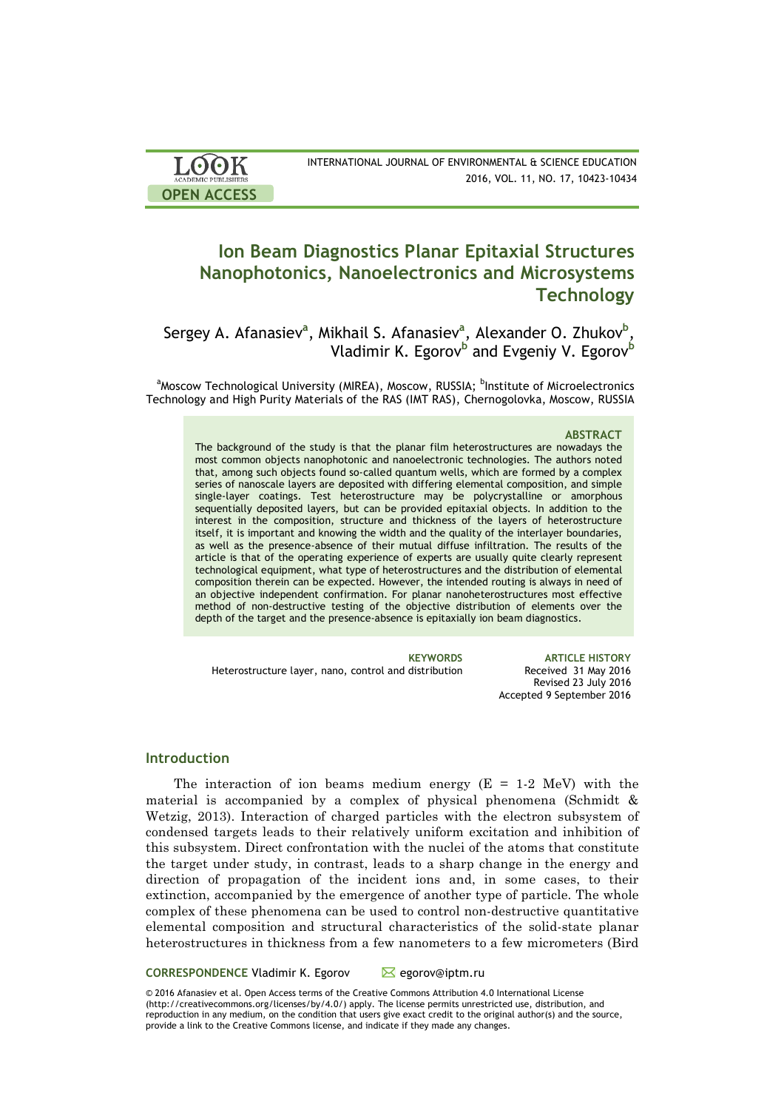| <b>LOOK</b>                | INTERNATIONAL JOURNAL OF ENVIRONMENTAL & SCIENCE EDUCATION |
|----------------------------|------------------------------------------------------------|
| <b>ACADEMIC PUBLISHERS</b> | 2016, VOL. 11, NO. 17, 10423-10434                         |
| <b>OPEN ACCESS</b>         |                                                            |

# **Ion Beam Diagnostics Planar Epitaxial Structures Nanophotonics, Nanoelectronics and Microsystems Technology**

Sergey A. Afanasiev<sup>a</sup>, Mikhail S. Afanasiev<sup>a</sup>, Alexander O. Zhukov<sup>b</sup>, Vladimir K. Egorov<sup>b</sup> and Evgeniy V. Egorov<sup>b</sup>

<sup>a</sup>Moscow Technological University (MIREA), Moscow, RUSSIA; <sup>b</sup>Institute of Microelectronics Technology and High Purity Materials of the RAS (IMT RAS), Chernogolovka, Moscow, RUSSIA

#### **ABSTRACT**

The background of the study is that the planar film heterostructures are nowadays the most common objects nanophotonic and nanoelectronic technologies. The authors noted that, among such objects found so-called quantum wells, which are formed by a complex series of nanoscale layers are deposited with differing elemental composition, and simple single-layer coatings. Test heterostructure may be polycrystalline or amorphous sequentially deposited layers, but can be provided epitaxial objects. In addition to the interest in the composition, structure and thickness of the layers of heterostructure itself, it is important and knowing the width and the quality of the interlayer boundaries, as well as the presence-absence of their mutual diffuse infiltration. The results of the article is that of the operating experience of experts are usually quite clearly represent technological equipment, what type of heterostructures and the distribution of elemental composition therein can be expected. However, the intended routing is always in need of an objective independent confirmation. For planar nanoheterostructures most effective method of non-destructive testing of the objective distribution of elements over the depth of the target and the presence-absence is epitaxially ion beam diagnostics.

**KEYWORDS ARTICLE HISTORY** Heterostructure layer, nano, control and distribution Revised 23 July 2016 Accepted 9 September 2016

#### **Introduction**

The interaction of ion beams medium energy  $(E = 1.2 \text{ MeV})$  with the material is accompanied by a complex of physical phenomena (Schmidt & Wetzig, 2013). Interaction of charged particles with the electron subsystem of condensed targets leads to their relatively uniform excitation and inhibition of this subsystem. Direct confrontation with the nuclei of the atoms that constitute the target under study, in contrast, leads to a sharp change in the energy and direction of propagation of the incident ions and, in some cases, to their extinction, accompanied by the emergence of another type of particle. The whole complex of these phenomena can be used to control non-destructive quantitative elemental composition and structural characteristics of the solid-state planar heterostructures in thickness from a few nanometers to a few micrometers (Bird

**CORRESPONDENCE Vladimir K. Egorov Megorov@iptm.ru** 

© 2016 Afanasiev et al. Open Access terms of the Creative Commons Attribution 4.0 International License (http://creativecommons.org/licenses/by/4.0/) apply. The license permits unrestricted use, distribution, and reproduction in any medium, on the condition that users give exact credit to the original author(s) and the source, provide a link to the Creative Commons license, and indicate if they made any changes.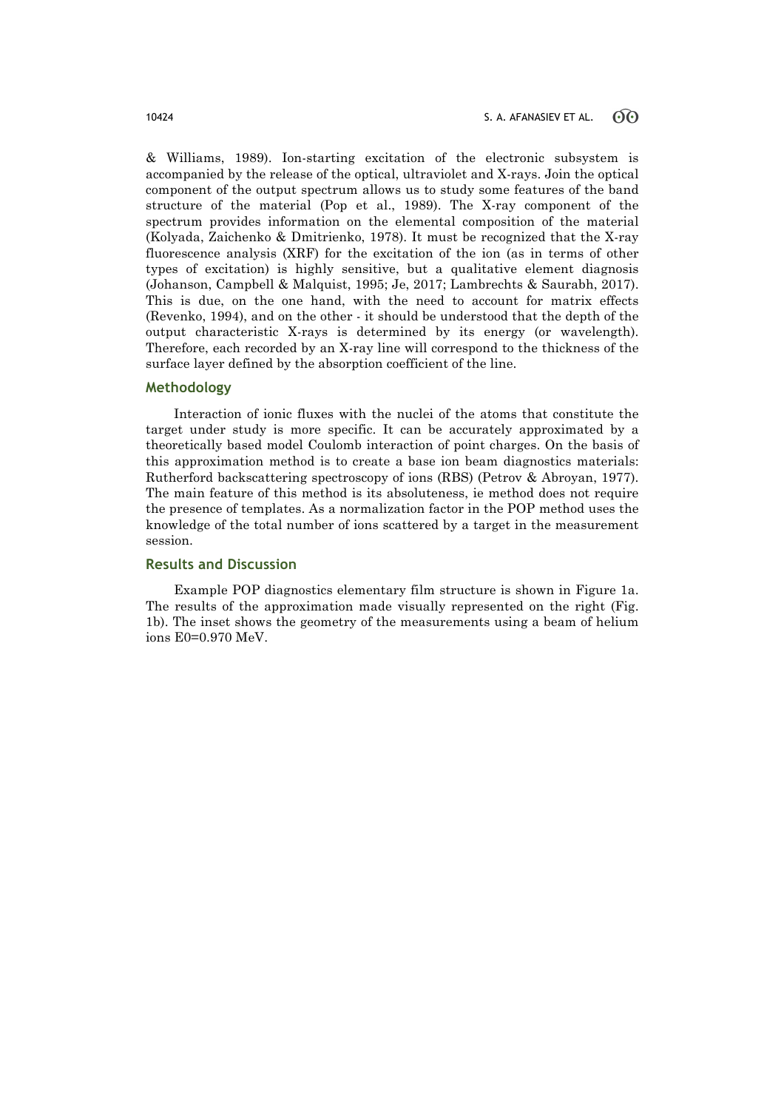& Williams, 1989). Ion-starting excitation of the electronic subsystem is accompanied by the release of the optical, ultraviolet and X-rays. Join the optical component of the output spectrum allows us to study some features of the band structure of the material (Pop et al., 1989). The X-ray component of the spectrum provides information on the elemental composition of the material (Kolyada, Zaichenko & Dmitrienko, 1978). It must be recognized that the X-ray fluorescence analysis (XRF) for the excitation of the ion (as in terms of other types of excitation) is highly sensitive, but a qualitative element diagnosis (Johanson, Campbell & Malquist, 1995; Je, 2017; Lambrechts & Saurabh, 2017). This is due, on the one hand, with the need to account for matrix effects (Revenko, 1994), and on the other - it should be understood that the depth of the output characteristic X-rays is determined by its energy (or wavelength). Therefore, each recorded by an X-ray line will correspond to the thickness of the surface layer defined by the absorption coefficient of the line.

#### **Methodology**

Interaction of ionic fluxes with the nuclei of the atoms that constitute the target under study is more specific. It can be accurately approximated by a theoretically based model Coulomb interaction of point charges. On the basis of this approximation method is to create a base ion beam diagnostics materials: Rutherford backscattering spectroscopy of ions (RBS) (Petrov & Abroyan, 1977). The main feature of this method is its absoluteness, ie method does not require the presence of templates. As a normalization factor in the POP method uses the knowledge of the total number of ions scattered by a target in the measurement session.

### **Results and Discussion**

Example POP diagnostics elementary film structure is shown in Figure 1a. The results of the approximation made visually represented on the right (Fig. 1b). The inset shows the geometry of the measurements using a beam of helium ions Е0=0.970 MeV.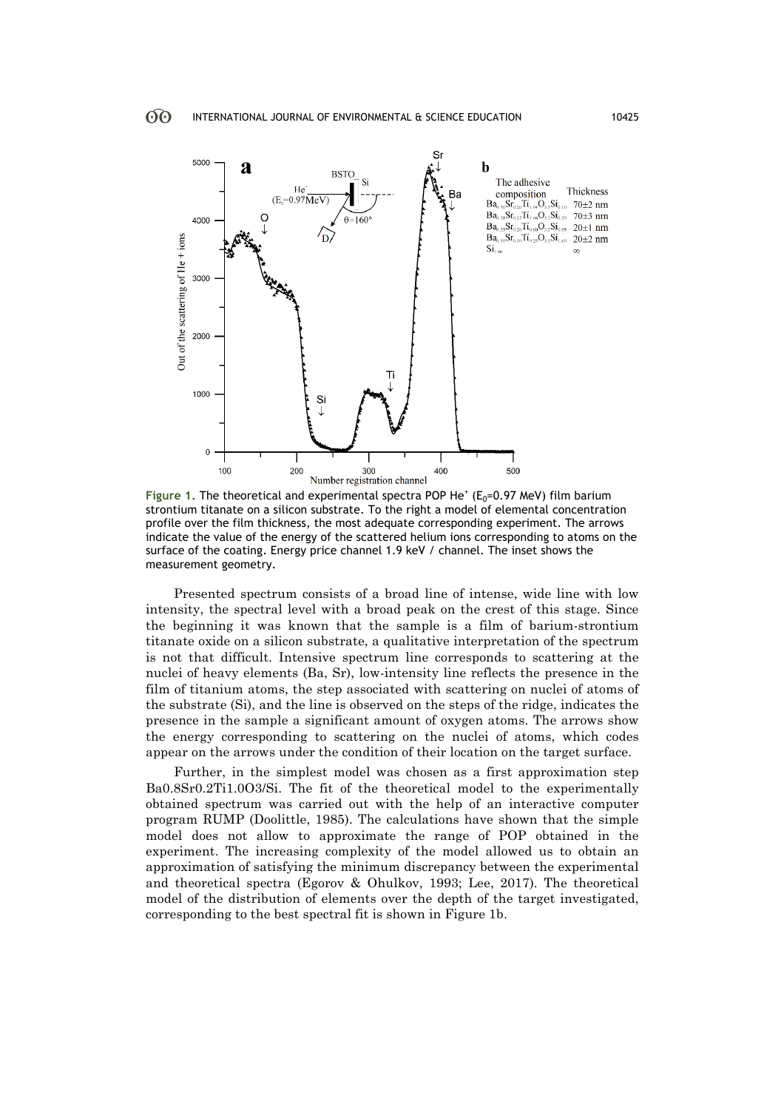

Figure 1. The theoretical and experimental spectra POP He<sup>+</sup> (E<sub>0</sub>=0.97 MeV) film barium strontium titanate on a silicon substrate. To the right a model of elemental concentration profile over the film thickness, the most adequate corresponding experiment. The arrows indicate the value of the energy of the scattered helium ions corresponding to atoms on the surface of the coating. Energy price channel 1.9 keV / channel. The inset shows the measurement geometry.

Presented spectrum consists of a broad line of intense, wide line with low intensity, the spectral level with a broad peak on the crest of this stage. Since the beginning it was known that the sample is a film of barium-strontium titanate oxide on a silicon substrate, a qualitative interpretation of the spectrum is not that difficult. Intensive spectrum line corresponds to scattering at the nuclei of heavy elements (Ba, Sr), low-intensity line reflects the presence in the film of titanium atoms, the step associated with scattering on nuclei of atoms of the substrate (Si), and the line is observed on the steps of the ridge, indicates the presence in the sample a significant amount of oxygen atoms. The arrows show the energy corresponding to scattering on the nuclei of atoms, which codes appear on the arrows under the condition of their location on the target surface.

Further, in the simplest model was chosen as a first approximation step Ba0.8Sr0.2Ti1.0O3/Si. The fit of the theoretical model to the experimentally obtained spectrum was carried out with the help of an interactive computer program RUMP (Doolittle, 1985). The calculations have shown that the simple model does not allow to approximate the range of POP obtained in the experiment. The increasing complexity of the model allowed us to obtain an approximation of satisfying the minimum discrepancy between the experimental and theoretical spectra (Egorov & Ohulkov, 1993; Lee, 2017). The theoretical model of the distribution of elements over the depth of the target investigated, corresponding to the best spectral fit is shown in Figure 1b.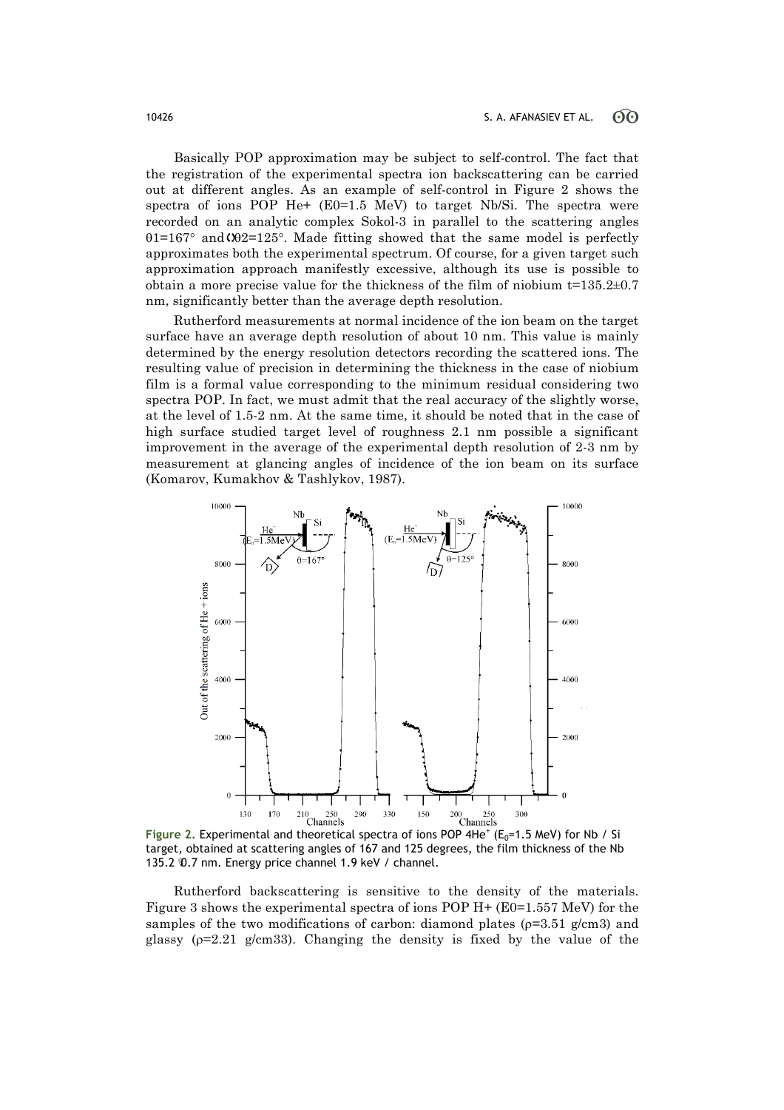Basically POP approximation may be subject to self-control. The fact that the registration of the experimental spectra ion backscattering can be carried out at different angles. As an example of self-control in Figure 2 shows the spectra of ions POP He+ (E0=1.5 MeV) to target Nb/Si. The spectra were recorded on an analytic complex Sokol-3 in parallel to the scattering angles  $\theta$ 1=167° and $\omega$ 2=125°. Made fitting showed that the same model is perfectly approximates both the experimental spectrum. Of course, for a given target such approximation approach manifestly excessive, although its use is possible to obtain a more precise value for the thickness of the film of niobium  $t=135.2\pm0.7$ nm, significantly better than the average depth resolution.

Rutherford measurements at normal incidence of the ion beam on the target surface have an average depth resolution of about 10 nm. This value is mainly determined by the energy resolution detectors recording the scattered ions. The resulting value of precision in determining the thickness in the case of niobium film is a formal value corresponding to the minimum residual considering two spectra POP. In fact, we must admit that the real accuracy of the slightly worse, at the level of 1.5-2 nm. At the same time, it should be noted that in the case of high surface studied target level of roughness 2.1 nm possible a significant improvement in the average of the experimental depth resolution of 2-3 nm by measurement at glancing angles of incidence of the ion beam on its surface (Komarov, Kumakhov & Tashlykov, 1987).



Figure 2. Experimental and theoretical spectra of ions POP 4He<sup>+</sup> (E<sub>0</sub>=1.5 MeV) for Nb / Si target, obtained at scattering angles of 167 and 125 degrees, the film thickness of the Nb 135.2  $0.7$  nm. Energy price channel 1.9 keV / channel.

Rutherford backscattering is sensitive to the density of the materials. Figure 3 shows the experimental spectra of ions POP H+ (E0=1.557 MeV) for the samples of the two modifications of carbon: diamond plates ( $p=3.51$  g/cm3) and glassy ( $p=2.21$  g/cm33). Changing the density is fixed by the value of the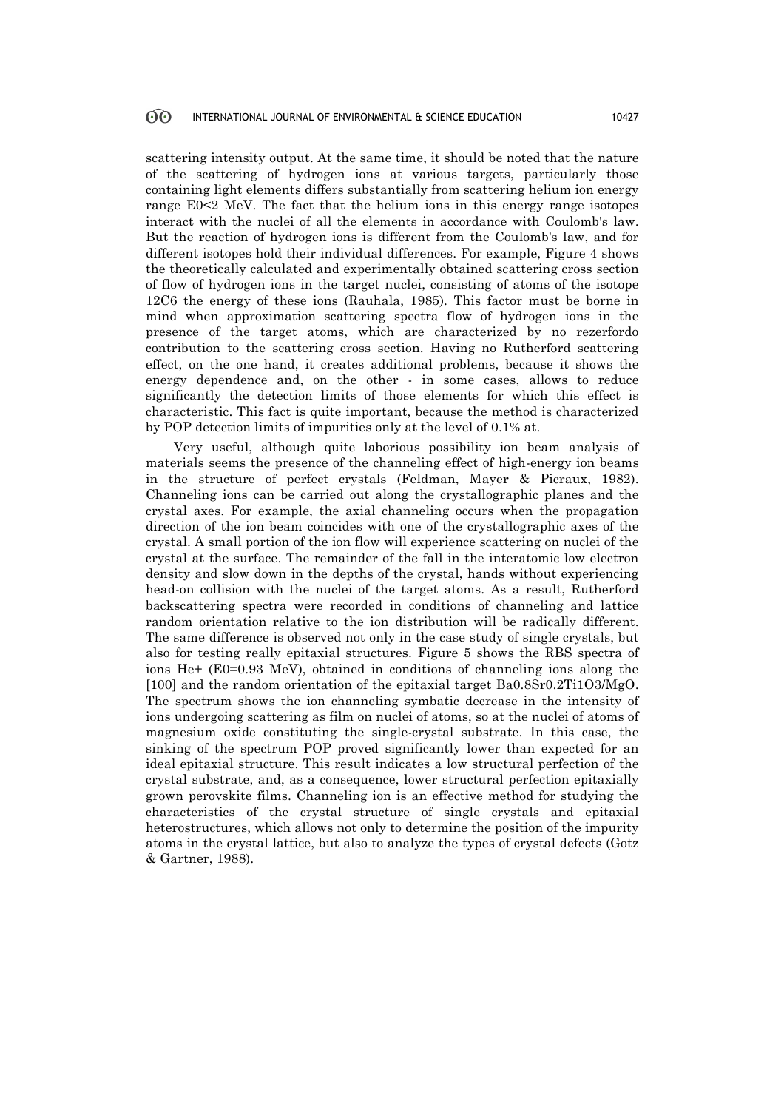scattering intensity output. At the same time, it should be noted that the nature of the scattering of hydrogen ions at various targets, particularly those containing light elements differs substantially from scattering helium ion energy range Е0<2 MeV. The fact that the helium ions in this energy range isotopes interact with the nuclei of all the elements in accordance with Coulomb's law. But the reaction of hydrogen ions is different from the Coulomb's law, and for different isotopes hold their individual differences. For example, Figure 4 shows the theoretically calculated and experimentally obtained scattering cross section of flow of hydrogen ions in the target nuclei, consisting of atoms of the isotope 12С6 the energy of these ions (Rauhala, 1985). This factor must be borne in mind when approximation scattering spectra flow of hydrogen ions in the presence of the target atoms, which are characterized by no rezerfordo contribution to the scattering cross section. Having no Rutherford scattering effect, on the one hand, it creates additional problems, because it shows the energy dependence and, on the other - in some cases, allows to reduce significantly the detection limits of those elements for which this effect is characteristic. This fact is quite important, because the method is characterized by POP detection limits of impurities only at the level of 0.1% at.

Very useful, although quite laborious possibility ion beam analysis of materials seems the presence of the channeling effect of high-energy ion beams in the structure of perfect crystals (Feldman, Mayer & Picraux, 1982). Channeling ions can be carried out along the crystallographic planes and the crystal axes. For example, the axial channeling occurs when the propagation direction of the ion beam coincides with one of the crystallographic axes of the crystal. A small portion of the ion flow will experience scattering on nuclei of the crystal at the surface. The remainder of the fall in the interatomic low electron density and slow down in the depths of the crystal, hands without experiencing head-on collision with the nuclei of the target atoms. As a result, Rutherford backscattering spectra were recorded in conditions of channeling and lattice random orientation relative to the ion distribution will be radically different. The same difference is observed not only in the case study of single crystals, but also for testing really epitaxial structures. Figure 5 shows the RBS spectra of ions Не+ (Е0=0.93 MeV), obtained in conditions of channeling ions along the [100] and the random orientation of the epitaxial target Ba0.8Sr0.2Ti1O3/MgO. The spectrum shows the ion channeling symbatic decrease in the intensity of ions undergoing scattering as film on nuclei of atoms, so at the nuclei of atoms of magnesium oxide constituting the single-crystal substrate. In this case, the sinking of the spectrum POP proved significantly lower than expected for an ideal epitaxial structure. This result indicates a low structural perfection of the crystal substrate, and, as a consequence, lower structural perfection epitaxially grown perovskite films. Channeling ion is an effective method for studying the characteristics of the crystal structure of single crystals and epitaxial heterostructures, which allows not only to determine the position of the impurity atoms in the crystal lattice, but also to analyze the types of crystal defects (Gotz & Gartner, 1988).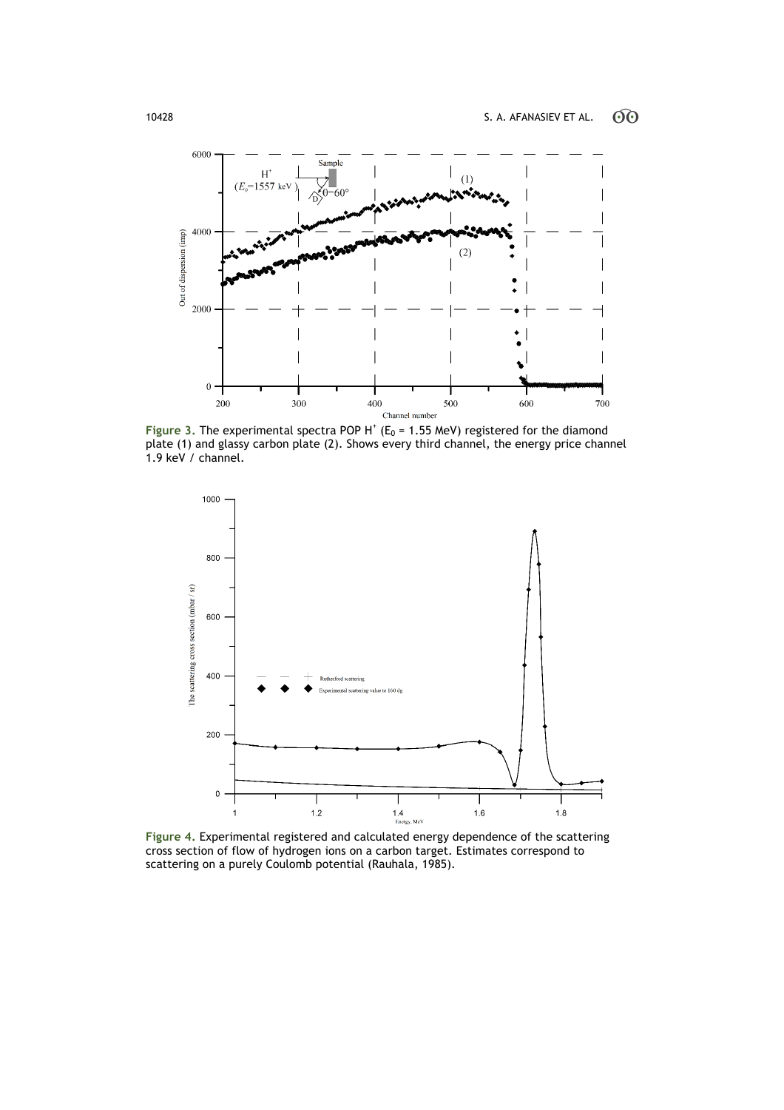

Figure 3. The experimental spectra POP H<sup>+</sup> ( $E_0$  = 1.55 MeV) registered for the diamond plate (1) and glassy carbon plate (2). Shows every third channel, the energy price channel 1.9 keV / channel.



**Figure 4.** Experimental registered and calculated energy dependence of the scattering cross section of flow of hydrogen ions on a carbon target. Estimates correspond to scattering on a purely Coulomb potential (Rauhala, 1985).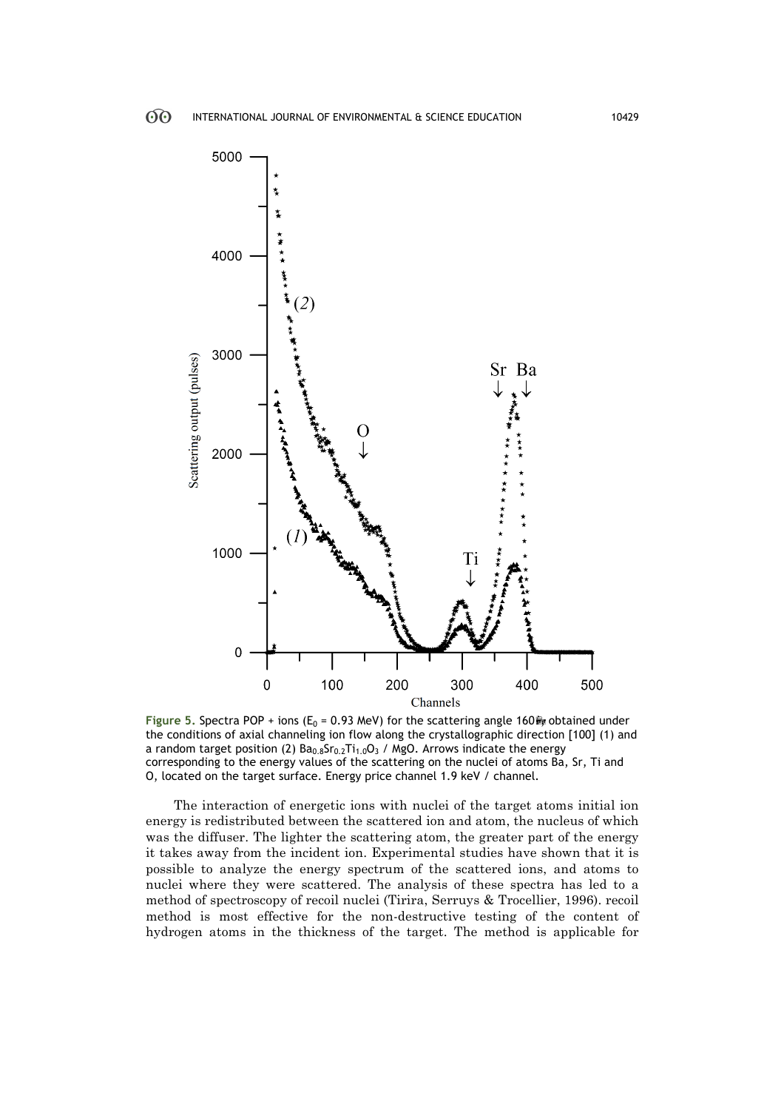

**Figure 5. Spectra POP + ions (E<sub>0</sub> = 0.93 MeV) for the scattering angle 160** $\frac{2}{\sqrt{3}}$  **obtained under** the conditions of axial channeling ion flow along the crystallographic direction [100] (1) and a random target position (2)  $Ba_{0.8}Sr_{0.2}Ti_{1.0}O_3$  / MgO. Arrows indicate the energy corresponding to the energy values of the scattering on the nuclei of atoms Ba, Sr, Ti and O, located on the target surface. Energy price channel 1.9 keV / channel.

The interaction of energetic ions with nuclei of the target atoms initial ion energy is redistributed between the scattered ion and atom, the nucleus of which was the diffuser. The lighter the scattering atom, the greater part of the energy it takes away from the incident ion. Experimental studies have shown that it is possible to analyze the energy spectrum of the scattered ions, and atoms to nuclei where they were scattered. The analysis of these spectra has led to a method of spectroscopy of recoil nuclei (Tirira, Serruys & Trocellier, 1996). recoil method is most effective for the non-destructive testing of the content of hydrogen atoms in the thickness of the target. The method is applicable for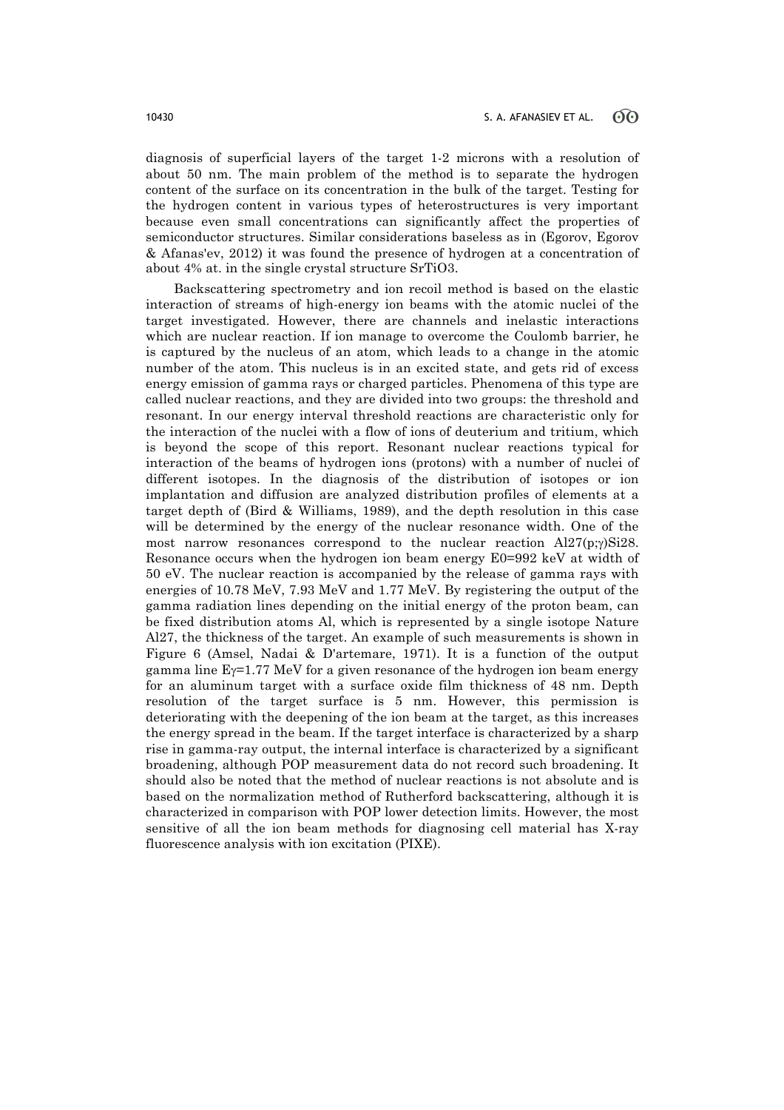diagnosis of superficial layers of the target 1-2 microns with a resolution of about 50 nm. The main problem of the method is to separate the hydrogen content of the surface on its concentration in the bulk of the target. Testing for the hydrogen content in various types of heterostructures is very important because even small concentrations can significantly affect the properties of semiconductor structures. Similar considerations baseless as in (Egorov, Egorov & Afanas'ev, 2012) it was found the presence of hydrogen at a concentration of about 4% at. in the single crystal structure SrTiO3.

Backscattering spectrometry and ion recoil method is based on the elastic interaction of streams of high-energy ion beams with the atomic nuclei of the target investigated. However, there are channels and inelastic interactions which are nuclear reaction. If ion manage to overcome the Coulomb barrier, he is captured by the nucleus of an atom, which leads to a change in the atomic number of the atom. This nucleus is in an excited state, and gets rid of excess energy emission of gamma rays or charged particles. Phenomena of this type are called nuclear reactions, and they are divided into two groups: the threshold and resonant. In our energy interval threshold reactions are characteristic only for the interaction of the nuclei with a flow of ions of deuterium and tritium, which is beyond the scope of this report. Resonant nuclear reactions typical for interaction of the beams of hydrogen ions (protons) with a number of nuclei of different isotopes. In the diagnosis of the distribution of isotopes or ion implantation and diffusion are analyzed distribution profiles of elements at a target depth of (Bird & Williams, 1989), and the depth resolution in this case will be determined by the energy of the nuclear resonance width. One of the most narrow resonances correspond to the nuclear reaction  $Al27(p;y)Si28$ . Resonance occurs when the hydrogen ion beam energy  $E0=992$  keV at width of 50 eV. The nuclear reaction is accompanied by the release of gamma rays with energies of 10.78 MeV, 7.93 MeV and 1.77 MeV. By registering the output of the gamma radiation lines depending on the initial energy of the proton beam, can be fixed distribution atoms Al, which is represented by a single isotope Nature Al27, the thickness of the target. An example of such measurements is shown in Figure 6 (Amsel, Nadai & D'artemare, 1971). It is a function of the output gamma line  $E\gamma = 1.77$  MeV for a given resonance of the hydrogen ion beam energy for an aluminum target with a surface oxide film thickness of 48 nm. Depth resolution of the target surface is 5 nm. However, this permission is deteriorating with the deepening of the ion beam at the target, as this increases the energy spread in the beam. If the target interface is characterized by a sharp rise in gamma-ray output, the internal interface is characterized by a significant broadening, although POP measurement data do not record such broadening. It should also be noted that the method of nuclear reactions is not absolute and is based on the normalization method of Rutherford backscattering, although it is characterized in comparison with POP lower detection limits. However, the most sensitive of all the ion beam methods for diagnosing cell material has X-ray fluorescence analysis with ion excitation (PIXE).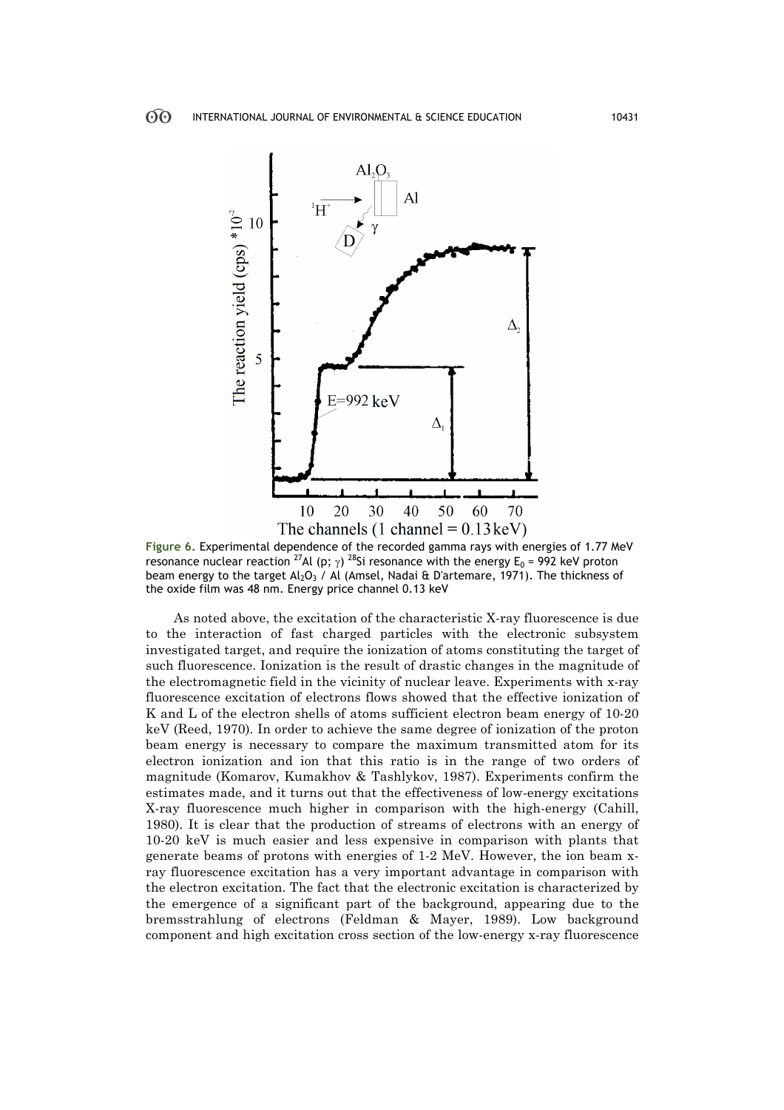

**Figure 6.** Experimental dependence of the recorded gamma rays with energies of 1.77 MeV resonance nuclear reaction <sup>27</sup>Al (p;  $\gamma$ ) <sup>28</sup>Si resonance with the energy E<sub>0</sub> = 992 keV proton beam energy to the target Al<sub>2</sub>O<sub>3</sub> / Al (Amsel, Nadai & D'artemare, 1971). The thickness of the oxide film was 48 nm. Energy price channel 0.13 keV

As noted above, the excitation of the characteristic X-ray fluorescence is due to the interaction of fast charged particles with the electronic subsystem investigated target, and require the ionization of atoms constituting the target of such fluorescence. Ionization is the result of drastic changes in the magnitude of the electromagnetic field in the vicinity of nuclear leave. Experiments with x-ray fluorescence excitation of electrons flows showed that the effective ionization of K and L of the electron shells of atoms sufficient electron beam energy of 10-20 keV (Reed, 1970). In order to achieve the same degree of ionization of the proton beam energy is necessary to compare the maximum transmitted atom for its electron ionization and ion that this ratio is in the range of two orders of magnitude (Komarov, Kumakhov & Tashlykov, 1987). Experiments confirm the estimates made, and it turns out that the effectiveness of low-energy excitations X-ray fluorescence much higher in comparison with the high-energy (Cahill, 1980). It is clear that the production of streams of electrons with an energy of 10-20 keV is much easier and less expensive in comparison with plants that generate beams of protons with energies of 1-2 MeV. However, the ion beam xray fluorescence excitation has a very important advantage in comparison with the electron excitation. The fact that the electronic excitation is characterized by the emergence of a significant part of the background, appearing due to the bremsstrahlung of electrons (Feldman & Mayer, 1989). Low background component and high excitation cross section of the low-energy x-ray fluorescence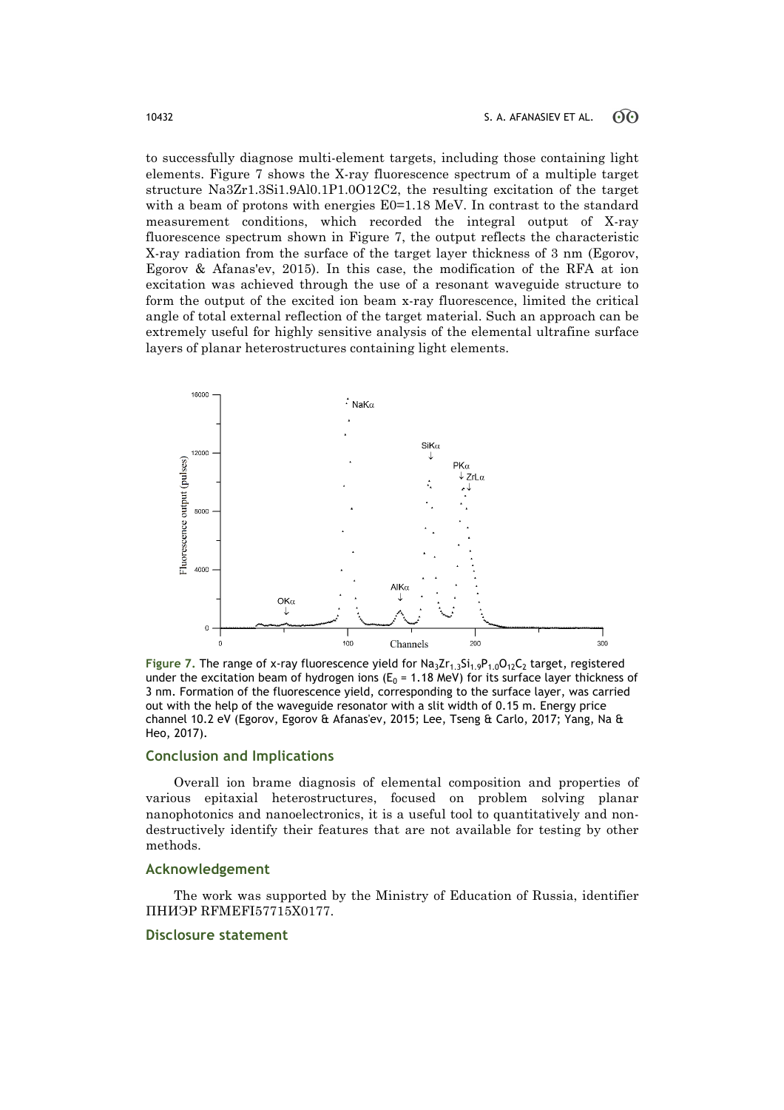to successfully diagnose multi-element targets, including those containing light elements. Figure 7 shows the X-ray fluorescence spectrum of a multiple target structure Na3Zr1.3Si1.9Al0.1P1.0O12C2, the resulting excitation of the target with a beam of protons with energies  $E0=1.18$  MeV. In contrast to the standard measurement conditions, which recorded the integral output of X-ray fluorescence spectrum shown in Figure 7, the output reflects the characteristic X-ray radiation from the surface of the target layer thickness of 3 nm (Egorov, Egorov & Afanas'ev, 2015). In this case, the modification of the RFA at ion excitation was achieved through the use of a resonant waveguide structure to form the output of the excited ion beam x-ray fluorescence, limited the critical angle of total external reflection of the target material. Such an approach can be extremely useful for highly sensitive analysis of the elemental ultrafine surface layers of planar heterostructures containing light elements.



Figure 7. The range of x-ray fluorescence yield for Na<sub>3</sub>Zr<sub>1.3</sub>Si<sub>1.9</sub>P<sub>1.0</sub>O<sub>12</sub>C<sub>2</sub> target, registered under the excitation beam of hydrogen ions ( $E_0$  = 1.18 MeV) for its surface layer thickness of 3 nm. Formation of the fluorescence yield, corresponding to the surface layer, was carried out with the help of the waveguide resonator with a slit width of 0.15 m. Energy price channel 10.2 eV (Egorov, Egorov & Afanas'ev, 2015; Lee, Tseng & Carlo, 2017; Yang, Na & Heo, 2017).

## **Conclusion and Implications**

Overall ion brame diagnosis of elemental composition and properties of various epitaxial heterostructures, focused on problem solving planar nanophotonics and nanoelectronics, it is a useful tool to quantitatively and nondestructively identify their features that are not available for testing by other methods.

#### **Acknowledgement**

The work was supported by the Ministry of Education of Russia, identifier ПНИЭР RFMEFI57715X0177.

#### **Disclosure statement**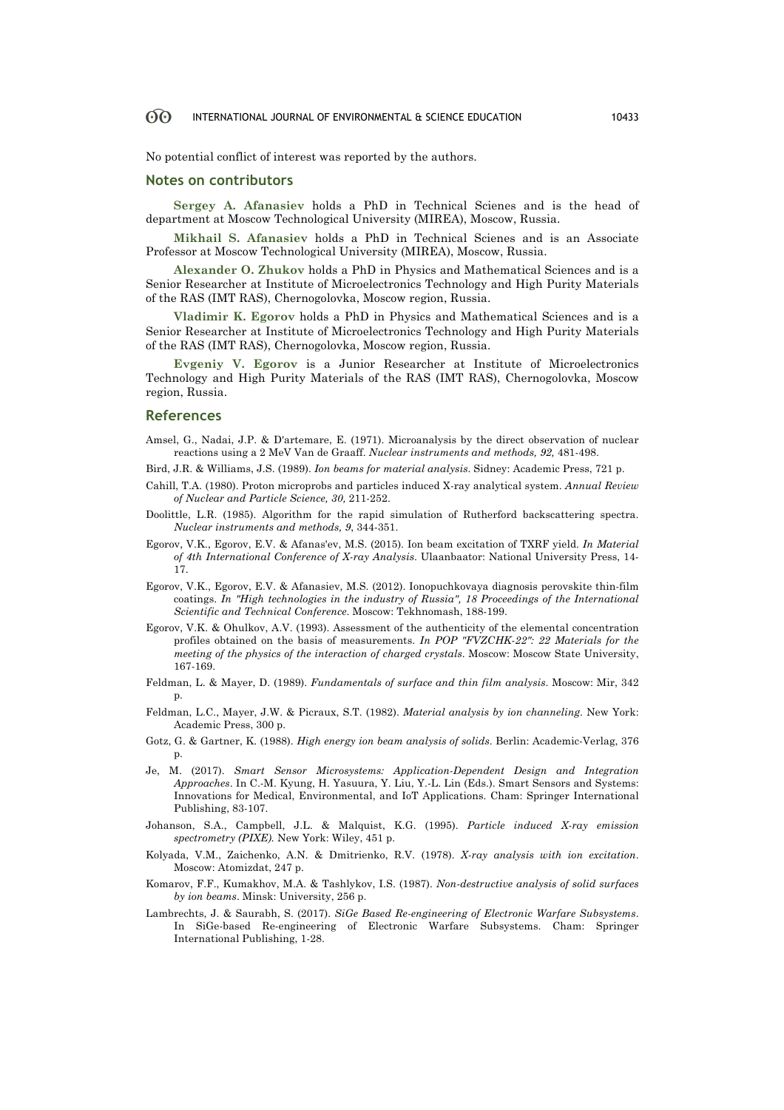#### 60 INTERNATIONAL JOURNAL OF ENVIRONMENTAL & SCIENCE EDUCATION 10433

No potential conflict of interest was reported by the authors.

#### **Notes on contributors**

**Sergey A. Afanasiev** holds a PhD in Technical Scienes and is the head of department at Moscow Technological University (MIREA), Moscow, Russia.

**Mikhail S. Afanasiev** holds a PhD in Technical Scienes and is an Associate Professor at Moscow Technological University (MIREA), Moscow, Russia.

**Alexander O. Zhukov** holds a PhD in Physics and Mathematical Sciences and is a Senior Researcher at Institute of Microelectronics Technology and High Purity Materials of the RAS (IMT RAS), Chernogolovka, Moscow region, Russia.

**Vladimir K. Egorov** holds a PhD in Physics and Mathematical Sciences and is a Senior Researcher at Institute of Microelectronics Technology and High Purity Materials of the RAS (IMT RAS), Chernogolovka, Moscow region, Russia.

**Evgeniy V. Egorov** is a Junior Researcher at Institute of Microelectronics Technology and High Purity Materials of the RAS (IMT RAS), Chernogolovka, Moscow region, Russia.

#### **References**

- Amsel, G., Nadai, J.P. & D'artemare, E. (1971). Microanalysis by the direct observation of nuclear reactions using a 2 MeV Van de Graaff. *Nuclear instruments and methods, 92,* 481-498.
- Bird, J.R. & Williams, J.S. (1989). *Ion beams for material analysis*. Sidney: Academic Press, 721 p.
- Cahill, T.A. (1980). Proton microprobs and particles induced X-ray analytical system. *Annual Review of Nuclear and Particle Science, 30,* 211-252.
- Doolittle, L.R. (1985). Algorithm for the rapid simulation of Rutherford backscattering spectra. *Nuclear instruments and methods, 9*, 344-351.
- Egorov, V.K., Egorov, E.V. & Afanas'ev, M.S. (2015). Ion beam excitation of TXRF yield. *In Material of 4th International Conference of X-ray Analysis*. Ulaanbaator: National University Press, 14- 17.
- Egorov, V.K., Egorov, E.V. & Afanasiev, M.S. (2012). Ionopuchkovaya diagnosis perovskite thin-film coatings. *In "High technologies in the industry of Russia", 18 Proceedings of the International Scientific and Technical Conference*. Moscow: Tekhnomash, 188-199.
- Egorov, V.K. & Ohulkov, A.V. (1993). Assessment of the authenticity of the elemental concentration profiles obtained on the basis of measurements. *In POP "FVZCHK-22": 22 Materials for the meeting of the physics of the interaction of charged crystals*. Moscow: Moscow State University, 167-169.
- Feldman, L. & Mayer, D. (1989). *Fundamentals of surface and thin film analysis*. Moscow: Mir, 342 p.
- Feldman, L.C., Mayer, J.W. & Picraux, S.T. (1982). *Material analysis by ion channeling*. New York: Academic Press, 300 p.
- Gotz, G. & Gartner, K. (1988). *High energy ion beam analysis of solids*. Berlin: Academic-Verlag, 376 p.
- Je, M. (2017). *Smart Sensor Microsystems: Application-Dependent Design and Integration Approaches*. In C.-M. Kyung, H. Yasuura, Y. Liu, Y.-L. Lin (Eds.). Smart Sensors and Systems: Innovations for Medical, Environmental, and IoT Applications. Cham: Springer International Publishing, 83-107.
- Johanson, S.A., Campbell, J.L. & Malquist, K.G. (1995). *Particle induced X-ray emission spectrometry (PIXE).* New York: Wiley, 451 p.
- Kolyada, V.M., Zaichenko, A.N. & Dmitrienko, R.V. (1978). *X-ray analysis with ion excitation*. Moscow: Atomizdat, 247 p.
- Komarov, F.F., Kumakhov, M.A. & Tashlykov, I.S. (1987). *Non-destructive analysis of solid surfaces by ion beams*. Minsk: University, 256 p.
- Lambrechts, J. & Saurabh, S. (2017). *SiGe Based Re-engineering of Electronic Warfare Subsystems*. In SiGe-based Re-engineering of Electronic Warfare Subsystems. Cham: Springer International Publishing, 1-28.